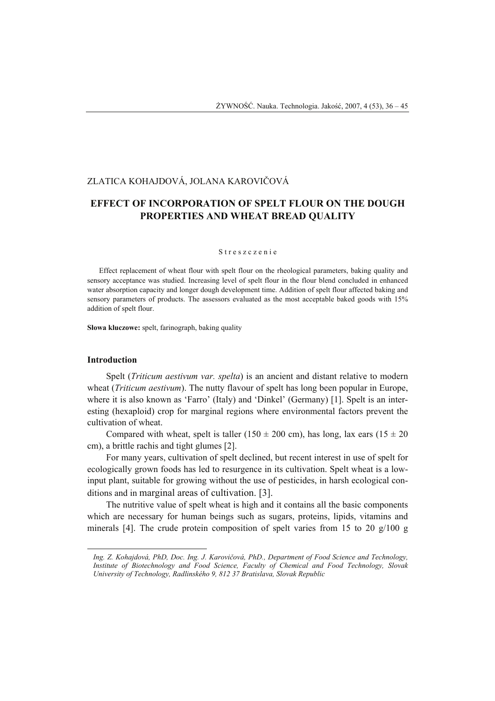# ZLATICA KOHAJDOVÁ, JOLANA KAROVIČOVÁ

# **EFFECT OF INCORPORATION OF SPELT FLOUR ON THE DOUGH PROPERTIES AND WHEAT BREAD QUALITY**

#### S treszczenie

Effect replacement of wheat flour with spelt flour on the rheological parameters, baking quality and sensory acceptance was studied. Increasing level of spelt flour in the flour blend concluded in enhanced water absorption capacity and longer dough development time. Addition of spelt flour affected baking and sensory parameters of products. The assessors evaluated as the most acceptable baked goods with 15% addition of spelt flour.

**Słowa kluczowe:** spelt, farinograph, baking quality

# **Introduction**

 $\overline{a}$ 

Spelt (*Triticum aestivum var. spelta*) is an ancient and distant relative to modern wheat (*Triticum aestivum*). The nutty flavour of spelt has long been popular in Europe, where it is also known as 'Farro' (Italy) and 'Dinkel' (Germany) [1]. Spelt is an interesting (hexaploid) crop for marginal regions where environmental factors prevent the cultivation of wheat.

Compared with wheat, spelt is taller (150  $\pm$  200 cm), has long, lax ears (15  $\pm$  20 cm), a brittle rachis and tight glumes [2].

For many years, cultivation of spelt declined, but recent interest in use of spelt for ecologically grown foods has led to resurgence in its cultivation. Spelt wheat is a lowinput plant, suitable for growing without the use of pesticides, in harsh ecological conditions and in marginal areas of cultivation. [3].

The nutritive value of spelt wheat is high and it contains all the basic components which are necessary for human beings such as sugars, proteins, lipids, vitamins and minerals [4]. The crude protein composition of spelt varies from 15 to 20  $g/100 g$ 

*Ing. Z. Kohajdová, PhD, Doc. Ing. J. Karovičová, PhD., Department of Food Science and Technology, Institute of Biotechnology and Food Science, Faculty of Chemical and Food Technology, Slovak University of Technology, Radlinského 9, 812 37 Bratislava, Slovak Republic*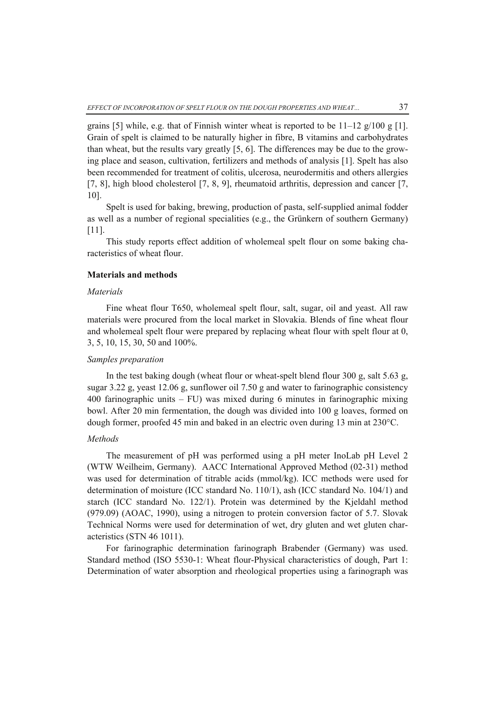grains [5] while, e.g. that of Finnish winter wheat is reported to be  $11-12$  g/100 g [1]. Grain of spelt is claimed to be naturally higher in fibre, B vitamins and carbohydrates than wheat, but the results vary greatly [5, 6]. The differences may be due to the growing place and season, cultivation, fertilizers and methods of analysis [1]. Spelt has also been recommended for treatment of colitis, ulcerosa, neurodermitis and others allergies [7, 8], high blood cholesterol [7, 8, 9], rheumatoid arthritis, depression and cancer [7, 10].

Spelt is used for baking, brewing, production of pasta, self-supplied animal fodder as well as a number of regional specialities (e.g., the Grünkern of southern Germany) [11].

This study reports effect addition of wholemeal spelt flour on some baking characteristics of wheat flour.

# **Materials and methods**

### *Materials*

Fine wheat flour T650, wholemeal spelt flour, salt, sugar, oil and yeast. All raw materials were procured from the local market in Slovakia. Blends of fine wheat flour and wholemeal spelt flour were prepared by replacing wheat flour with spelt flour at 0, 3, 5, 10, 15, 30, 50 and 100%.

# *Samples preparation*

In the test baking dough (wheat flour or wheat-spelt blend flour 300 g, salt 5.63 g, sugar 3.22 g, yeast 12.06 g, sunflower oil 7.50 g and water to farinographic consistency 400 farinographic units – FU) was mixed during 6 minutes in farinographic mixing bowl. After 20 min fermentation, the dough was divided into 100 g loaves, formed on dough former, proofed 45 min and baked in an electric oven during 13 min at 230°C.

#### *Methods*

The measurement of pH was performed using a pH meter InoLab pH Level 2 (WTW Weilheim, Germany). AACC International Approved Method (02-31) method was used for determination of titrable acids (mmol/kg). ICC methods were used for determination of moisture (ICC standard No. 110/1), ash (ICC standard No. 104/1) and starch (ICC standard No. 122/1). Protein was determined by the Kjeldahl method (979.09) (AOAC, 1990), using a nitrogen to protein conversion factor of 5.7. Slovak Technical Norms were used for determination of wet, dry gluten and wet gluten characteristics (STN 46 1011).

For farinographic determination farinograph Brabender (Germany) was used. Standard method (ISO 5530-1: Wheat flour-Physical characteristics of dough, Part 1: Determination of water absorption and rheological properties using a farinograph was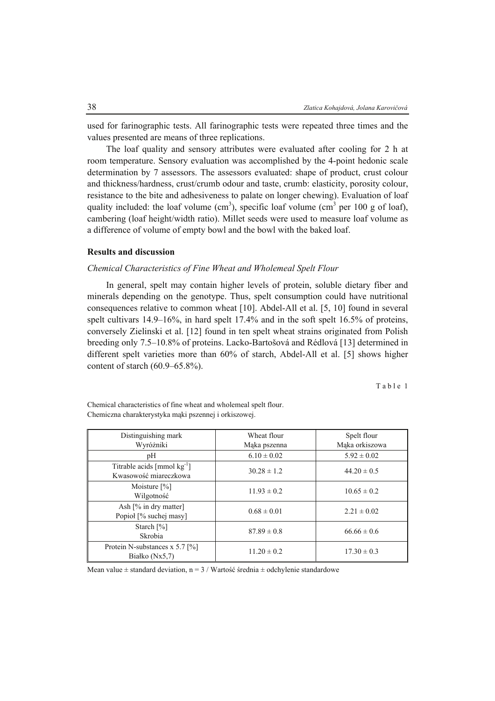used for farinographic tests. All farinographic tests were repeated three times and the values presented are means of three replications.

The loaf quality and sensory attributes were evaluated after cooling for 2 h at room temperature. Sensory evaluation was accomplished by the 4-point hedonic scale determination by 7 assessors. The assessors evaluated: shape of product, crust colour and thickness/hardness, crust/crumb odour and taste, crumb: elasticity, porosity colour, resistance to the bite and adhesiveness to palate on longer chewing). Evaluation of loaf quality included: the loaf volume  $(cm^3)$ , specific loaf volume  $(cm^3)$  per 100 g of loaf), cambering (loaf height/width ratio). Millet seeds were used to measure loaf volume as a difference of volume of empty bowl and the bowl with the baked loaf.

# **Results and discussion**

# *Chemical Characteristics of Fine Wheat and Wholemeal Spelt Flour*

In general, spelt may contain higher levels of protein, soluble dietary fiber and minerals depending on the genotype. Thus, spelt consumption could have nutritional consequences relative to common wheat [10]. Abdel-All et al. [5, 10] found in several spelt cultivars 14.9–16%, in hard spelt 17.4% and in the soft spelt 16.5% of proteins, conversely Zielinski et al. [12] found in ten spelt wheat strains originated from Polish breeding only 7.5–10.8% of proteins. Lacko-Bartošová and Rédlová [13] determined in different spelt varieties more than 60% of starch, Abdel-All et al. [5] shows higher content of starch (60.9–65.8%).

Table 1

| Distinguishing mark                                                    | Wheat flour     | Spelt flour     |
|------------------------------------------------------------------------|-----------------|-----------------|
| Wyróżniki                                                              | Maka pszenna    | Maka orkiszowa  |
| pH                                                                     | $6.10 \pm 0.02$ | $5.92 \pm 0.02$ |
| Titrable acids $\text{[mmol kg}^{-1}\text{]}$<br>Kwasowość miareczkowa | $30.28 \pm 1.2$ | $44.20 \pm 0.5$ |
| Moisture $[\%]$<br>Wilgotność                                          | $11.93 \pm 0.2$ | $10.65 \pm 0.2$ |
| Ash $[%$ in dry matter]<br>Popioł [% suchej masy]                      | $0.68 \pm 0.01$ | $2.21 \pm 0.02$ |
| Starch $[%]$<br>Skrobia                                                | $87.89 \pm 0.8$ | $66.66 \pm 0.6$ |
| Protein N-substances x 5.7 $\lceil\% \rceil$<br>Białko $(Nx5,7)$       | $11.20 \pm 0.2$ | $17.30 \pm 0.3$ |

Chemical characteristics of fine wheat and wholemeal spelt flour. Chemiczna charakterystyka mąki pszennej i orkiszowej.

Mean value  $\pm$  standard deviation, n = 3 / Wartość średnia  $\pm$  odchylenie standardowe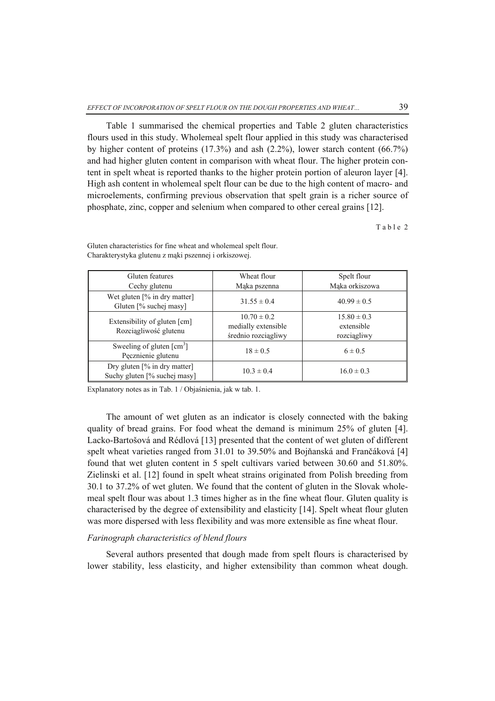Table 1 summarised the chemical properties and Table 2 gluten characteristics flours used in this study. Wholemeal spelt flour applied in this study was characterised by higher content of proteins (17.3%) and ash (2.2%), lower starch content (66.7%) and had higher gluten content in comparison with wheat flour. The higher protein content in spelt wheat is reported thanks to the higher protein portion of aleuron layer [4]. High ash content in wholemeal spelt flour can be due to the high content of macro- and microelements, confirming previous observation that spelt grain is a richer source of phosphate, zinc, copper and selenium when compared to other cereal grains [12].

Table 2

| Gluten features<br>Cechy glutenu                                           | Wheat flour<br>Maka pszenna                                   | Spelt flour<br>Maka orkiszowa                                   |  |
|----------------------------------------------------------------------------|---------------------------------------------------------------|-----------------------------------------------------------------|--|
| Wet gluten $[\%$ in dry matter]<br>Gluten [% suchej masy]                  | $31.55 \pm 0.4$                                               | $40.99 \pm 0.5$<br>$15.80 \pm 0.3$<br>extensible<br>rozciągliwy |  |
| Extensibility of gluten [cm]<br>Rozciągliwość glutenu                      | $10.70 \pm 0.2$<br>medially extensible<br>średnio rozciągliwy |                                                                 |  |
| Sweeling of gluten $\lceil$ cm <sup>3</sup> $\rceil$<br>Pecznienie glutenu | $18 \pm 0.5$                                                  | $6 \pm 0.5$                                                     |  |
| Dry gluten [% in dry matter]<br>Suchy gluten [% suchej masy]               | $10.3 \pm 0.4$                                                | $16.0 \pm 0.3$                                                  |  |

Gluten characteristics for fine wheat and wholemeal spelt flour. Charakterystyka glutenu z mąki pszennej i orkiszowej.

Explanatory notes as in Tab. 1 / Objaśnienia, jak w tab. 1.

The amount of wet gluten as an indicator is closely connected with the baking quality of bread grains. For food wheat the demand is minimum 25% of gluten [4]. Lacko-Bartošová and Rédlová [13] presented that the content of wet gluten of different spelt wheat varieties ranged from 31.01 to 39.50% and Bojňanská and Frančáková [4] found that wet gluten content in 5 spelt cultivars varied between 30.60 and 51.80%. Zielinski et al. [12] found in spelt wheat strains originated from Polish breeding from 30.1 to 37.2% of wet gluten. We found that the content of gluten in the Slovak wholemeal spelt flour was about 1.3 times higher as in the fine wheat flour. Gluten quality is characterised by the degree of extensibility and elasticity [14]. Spelt wheat flour gluten was more dispersed with less flexibility and was more extensible as fine wheat flour.

# *Farinograph characteristics of blend flours*

Several authors presented that dough made from spelt flours is characterised by lower stability, less elasticity, and higher extensibility than common wheat dough.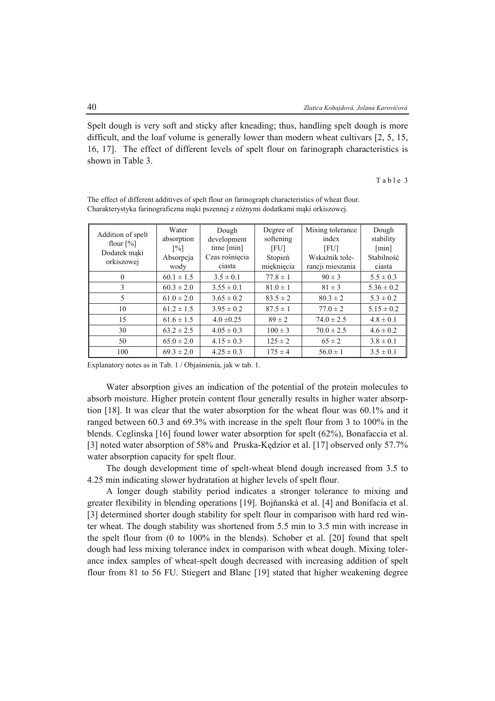Spelt dough is very soft and sticky after kneading; thus, handling spelt dough is more difficult, and the loaf volume is generally lower than modern wheat cultivars [2, 5, 15, 16, 17]. The effect of different levels of spelt flour on farinograph characteristics is shown in Table 3.

Table 3

| Addition of spelt<br>flour $[\%]$<br>Dodatek maki<br>orkiszowej | Water<br>absorption<br>$\lceil\% \rceil$<br>Absorpcja<br>wody | Dough<br>development<br>time $[\min]$<br>Czas rośniecia<br>ciasta | Degree of<br>softening<br>[FU]<br>Stopień<br>mięknięcia | Mixing tolerance<br>index<br>[FU]<br>Wskaźnik tole-<br>rancji mieszania | Dough<br>stability<br>[min]<br>Stabilność<br>ciasta |
|-----------------------------------------------------------------|---------------------------------------------------------------|-------------------------------------------------------------------|---------------------------------------------------------|-------------------------------------------------------------------------|-----------------------------------------------------|
| $\theta$                                                        | $60.1 \pm 1.5$                                                | $3.5 \pm 0.1$                                                     | $77.8 \pm 1$                                            | $90 \pm 3$                                                              | $5.5 \pm 0.3$                                       |
| 3                                                               | $60.3 \pm 2.0$                                                | $3.55 \pm 0.1$                                                    | $81.0 \pm 1$                                            | $81 \pm 3$                                                              | $5.36 \pm 0.2$                                      |
| 5                                                               | $61.0 \pm 2.0$                                                | $3.65 \pm 0.2$                                                    | $83.5 \pm 2$                                            | $80.3 \pm 2$                                                            | $5.3 \pm 0.2$                                       |
| 10                                                              | $61.2 \pm 1.5$                                                | $3.95 \pm 0.2$                                                    | $87.5 \pm 1$                                            | $77.0 \pm 2$                                                            | $5.15 \pm 0.2$                                      |
| 15                                                              | $61.6 \pm 1.5$                                                | $4.0 \pm 0.25$                                                    | $89 \pm 2$                                              | $74.0 \pm 2.5$                                                          | $4.8 \pm 0.1$                                       |
| 30                                                              | $63.2 \pm 2.5$                                                | $4.05 \pm 0.3$                                                    | $100 \pm 3$                                             | $70.0 \pm 2.5$                                                          | $4.6 \pm 0.2$                                       |
| 50                                                              | $65.0 \pm 2.0$                                                | $4.15 \pm 0.3$                                                    | $125 \pm 2$                                             | $65 \pm 2$                                                              | $3.8 \pm 0.1$                                       |
| 100                                                             | $69.3 \pm 2.0$                                                | $4.25 \pm 0.3$                                                    | $175 \pm 4$                                             | $56.0 \pm 1$                                                            | $3.5 \pm 0.1$                                       |

The effect of different additives of spelt flour on farinograph characteristics of wheat flour. Charakterystyka farinograficzna mąki pszennej z różnymi dodatkami mąki orkiszowej.

Explanatory notes as in Tab. 1 / Objaśnienia, jak w tab. 1.

Water absorption gives an indication of the potential of the protein molecules to absorb moisture. Higher protein content flour generally results in higher water absorption [18]. It was clear that the water absorption for the wheat flour was 60.1% and it ranged between 60.3 and 69.3% with increase in the spelt flour from 3 to 100% in the blends. Ceglinska [16] found lower water absorption for spelt (62%), Bonafaccia et al. [3] noted water absorption of 58% and Pruska-Kędzior et al. [17] observed only 57.7% water absorption capacity for spelt flour.

The dough development time of spelt-wheat blend dough increased from 3.5 to 4.25 min indicating slower hydratation at higher levels of spelt flour.

A longer dough stability period indicates a stronger tolerance to mixing and greater flexibility in blending operations [19]. Bojňanská et al. [4] and Bonifacia et al. [3] determined shorter dough stability for spelt flour in comparison with hard red winter wheat. The dough stability was shortened from 5.5 min to 3.5 min with increase in the spelt flour from (0 to 100% in the blends). Schober et al. [20] found that spelt dough had less mixing tolerance index in comparison with wheat dough. Mixing tolerance index samples of wheat-spelt dough decreased with increasing addition of spelt flour from 81 to 56 FU. Stiegert and Blanc [19] stated that higher weakening degree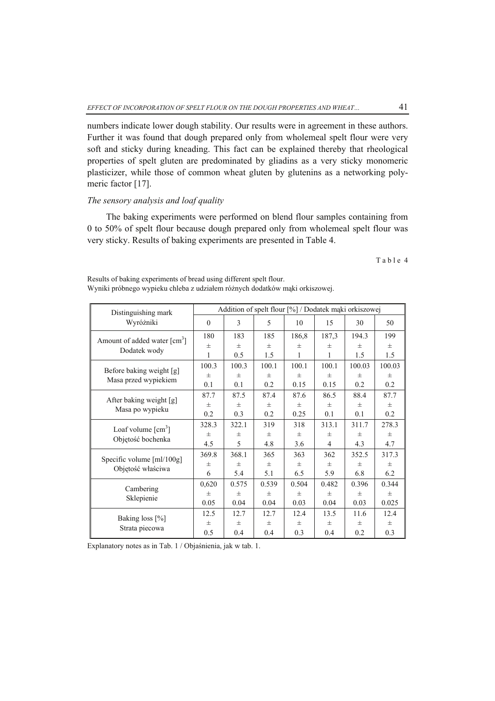numbers indicate lower dough stability. Our results were in agreement in these authors. Further it was found that dough prepared only from wholemeal spelt flour were very soft and sticky during kneading. This fact can be explained thereby that rheological properties of spelt gluten are predominated by gliadins as a very sticky monomeric plasticizer, while those of common wheat gluten by glutenins as a networking polymeric factor [17].

# *The sensory analysis and loaf quality*

The baking experiments were performed on blend flour samples containing from 0 to 50% of spelt flour because dough prepared only from wholemeal spelt flour was very sticky. Results of baking experiments are presented in Table 4.

Table 4

| Distinguishing mark                                                     | Addition of spelt flour [%] / Dodatek mąki orkiszowej |        |        |          |        |          |        |
|-------------------------------------------------------------------------|-------------------------------------------------------|--------|--------|----------|--------|----------|--------|
| Wyróżniki                                                               | $\mathbf{0}$                                          | 3      | 5      | 10       | 15     | 30       | 50     |
| Amount of added water $\lceil$ cm <sup>3</sup> $\rceil$<br>Dodatek wody | 180                                                   | 183    | 185    | 186,8    | 187,3  | 194.3    | 199    |
|                                                                         | $^{+}$                                                | $^{+}$ | $^{+}$ | $^{+}$   | $^{+}$ | $^{+}$   | $+$    |
|                                                                         | 1                                                     | 0.5    | 1.5    | 1        | 1      | 1.5      | 1.5    |
| Before baking weight [g]                                                | 100.3                                                 | 100.3  | 100.1  | 100.1    | 100.1  | 100.03   | 100.03 |
| Masa przed wypiekiem                                                    | $^{+}$                                                | $^{+}$ | $\pm$  | $^{+}$   | $^{+}$ | $+$      | $\pm$  |
|                                                                         | 0.1                                                   | 0.1    | 0.2    | 0.15     | 0.15   | 0.2      | 0.2    |
| After baking weight [g]<br>Masa po wypieku                              | 87.7                                                  | 87.5   | 87.4   | 87.6     | 86.5   | 88.4     | 87.7   |
|                                                                         | $\pm$                                                 | 王      | $\pm$  | $\pm$    | $^{+}$ | $+$      | $+$    |
|                                                                         | 0.2                                                   | 0.3    | 0.2    | 0.25     | 0.1    | 0.1      | 0.2    |
| Loaf volume $\lceil$ cm <sup>3</sup> $\rceil$                           | 328.3                                                 | 322.1  | 319    | 318      | 313.1  | 311.7    | 278.3  |
| Objętość bochenka                                                       | 士                                                     | 王      | 王      | $_{\pm}$ | 士      | 士        | 士      |
|                                                                         | 4.5                                                   | 5      | 4.8    | 3.6      | 4      | 4.3      | 4.7    |
|                                                                         | 369.8                                                 | 368.1  | 365    | 363      | 362    | 352.5    | 317.3  |
| Specific volume [ml/100g]<br>Objętość właściwa                          | $^{+}$                                                | $^{+}$ | $\pm$  | $+$      | $^{+}$ | $^{+}$   | $+$    |
|                                                                         | 6                                                     | 5.4    | 5.1    | 6.5      | 5.9    | 6.8      | 6.2    |
| Cambering<br>Sklepienie                                                 | 0,620                                                 | 0.575  | 0.539  | 0.504    | 0.482  | 0.396    | 0.344  |
|                                                                         | $\pm$                                                 | $\pm$  | $\pm$  | $\pm$    | $\pm$  | $^{+}$   | $\pm$  |
|                                                                         | 0.05                                                  | 0.04   | 0.04   | 0.03     | 0.04   | 0.03     | 0.025  |
| Baking loss [%]<br>Strata piecowa                                       | 12.5                                                  | 12.7   | 12.7   | 12.4     | 13.5   | 11.6     | 12.4   |
|                                                                         | $\pm$                                                 | 王      | 王      | 王        | $\pm$  | $_{\pm}$ | $\pm$  |
|                                                                         | 0.5                                                   | 0.4    | 0.4    | 0.3      | 0.4    | 0.2      | 0.3    |

Results of baking experiments of bread using different spelt flour. Wyniki próbnego wypieku chleba z udziałem różnych dodatków mąki orkiszowej.

Explanatory notes as in Tab. 1 / Objaśnienia, jak w tab. 1.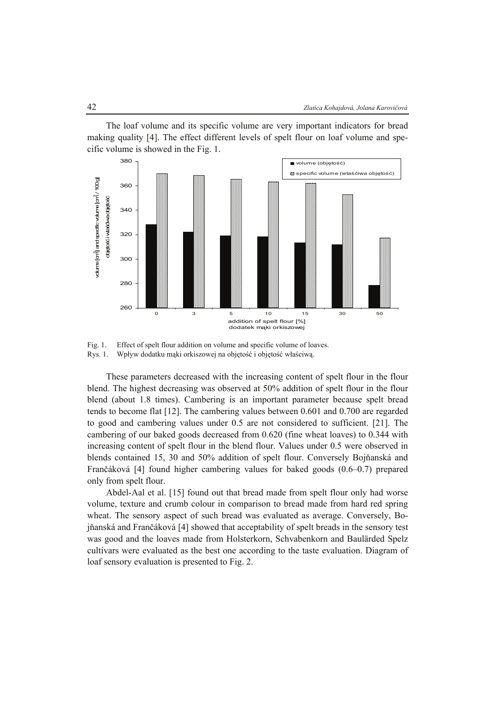The loaf volume and its specific volume are very important indicators for bread making quality [4]. The effect different levels of spelt flour on loaf volume and specific volume is showed in the Fig. 1.



Fig. 1. Effect of spelt flour addition on volume and specific volume of loaves. Rys. 1. Wpływ dodatku mąki orkiszowej na objętość i objętość właściwą.

These parameters decreased with the increasing content of spelt flour in the flour blend. The highest decreasing was observed at 50% addition of spelt flour in the flour blend (about 1.8 times). Cambering is an important parameter because spelt bread tends to become flat [12]. The cambering values between 0.601 and 0.700 are regarded to good and cambering values under 0.5 are not considered to sufficient. [21]. The cambering of our baked goods decreased from 0.620 (fine wheat loaves) to 0.344 with increasing content of spelt flour in the blend flour. Values under 0.5 were observed in blends contained 15, 30 and 50% addition of spelt flour. Conversely Bojňanská and Frančáková [4] found higher cambering values for baked goods (0.6–0.7) prepared only from spelt flour.

Abdel-Aal et al. [15] found out that bread made from spelt flour only had worse volume, texture and crumb colour in comparison to bread made from hard red spring wheat. The sensory aspect of such bread was evaluated as average. Conversely, Bojňanská and Frančáková [4] showed that acceptability of spelt breads in the sensory test was good and the loaves made from Holsterkorn, Schvabenkorn and Baulärded Spelz cultivars were evaluated as the best one according to the taste evaluation. Diagram of loaf sensory evaluation is presented to Fig. 2.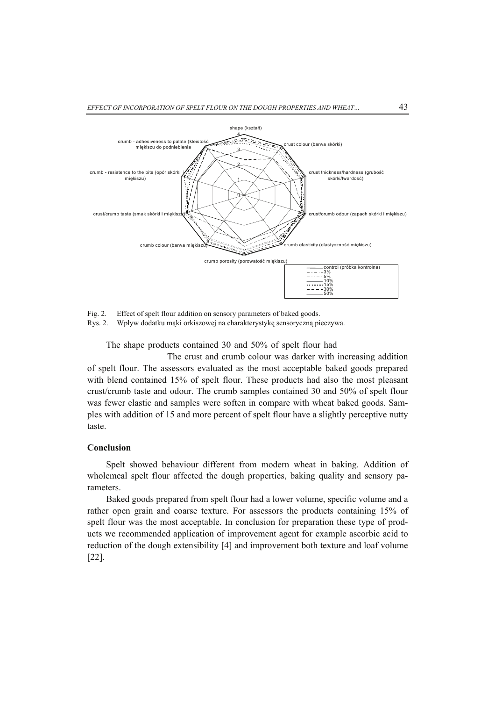

Fig. 2. Effect of spelt flour addition on sensory parameters of baked goods. Rys. 2. Wpływ dodatku mąki orkiszowej na charakterystykę sensoryczną pieczywa.

The shape products contained 30 and 50% of spelt flour had

The crust and crumb colour was darker with increasing addition of spelt flour. The assessors evaluated as the most acceptable baked goods prepared with blend contained 15% of spelt flour. These products had also the most pleasant crust/crumb taste and odour. The crumb samples contained 30 and 50% of spelt flour was fewer elastic and samples were soften in compare with wheat baked goods. Samples with addition of 15 and more percent of spelt flour have a slightly perceptive nutty taste.

# **Conclusion**

Spelt showed behaviour different from modern wheat in baking. Addition of wholemeal spelt flour affected the dough properties, baking quality and sensory parameters.

Baked goods prepared from spelt flour had a lower volume, specific volume and a rather open grain and coarse texture. For assessors the products containing 15% of spelt flour was the most acceptable. In conclusion for preparation these type of products we recommended application of improvement agent for example ascorbic acid to reduction of the dough extensibility [4] and improvement both texture and loaf volume [22].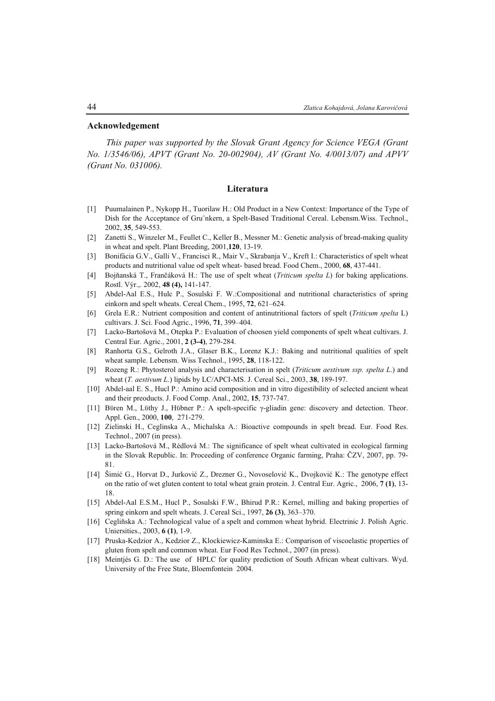#### **Acknowledgement**

*This paper was supported by the Slovak Grant Agency for Science VEGA (Grant No. 1/3546/06), APVT (Grant No. 20-002904), AV (Grant No. 4/0013/07) and APVV (Grant No. 031006).* 

### **Literatura**

- [1] Puumalainen P., Nykopp H., Tuorilaw H.: Old Product in a New Context: Importance of the Type of Dish for the Acceptance of Gru¨nkern, a Spelt-Based Traditional Cereal. Lebensm.Wiss. Technol., 2002, **35**, 549-553.
- [2] Zanetti S., Winzeler M., Feullet C., Keller B., Messner M.: Genetic analysis of bread-making quality in wheat and spelt. Plant Breeding, 2001,**120**, 13-19.
- [3] Bonifácia G.V., Galli V., Francisci R., Mair V., Skrabanja V., Kreft I.: Characteristics of spelt wheat products and nutritional value od spelt wheat- based bread. Food Chem., 2000, **68**, 437-441.
- [4] Bojňanská T., Frančáková H.: The use of spelt wheat (*Triticum spelta L*) for baking applications. Rostl. Výr.,. 2002, **48 (4),** 141-147.
- [5] Abdel-Aal E.S., Hulc P., Sosulski F. W.:Compositional and nutritional characteristics of spring einkorn and spelt wheats. Cereal Chem., 1995, **72**, 621–624.
- [6] Grela E.R.: Nutrient composition and content of antinutritional factors of spelt (*Triticum spelta* L) cultivars. J. Sci. Food Agric., 1996, **71**, 399–404.
- [7] Lacko-Bartošová M., Otepka P.: Evaluation of choosen yield components of spelt wheat cultivars. J. Central Eur. Agric., 2001, **2 (3-4)**, 279-284.
- [8] Ranhorta G.S., Gelroth J.A., Glaser B.K., Lorenz K.J.: Baking and nutritional qualities of spelt wheat sample. Lebensm. Wiss Technol., 1995, **28**, 118-122.
- [9] Rozeng R.: Phytosterol analysis and characterisation in spelt (*Triticum aestivum ssp. spelta L*.) and wheat (*T. aestivum L*.) lipids by LC/APCI-MS. J. Cereal Sci., 2003, **38**, 189-197.
- [10] Abdel-aal E. S., Hucl P.: Amino acid composition and in vitro digestibility of selected ancient wheat and their preoducts. J. Food Comp. Anal., 2002, **15**, 737-747.
- [11] Bϋren M., Lϋthy J., Hϋbner P.: A spelt-specific γ-gliadin gene: discovery and detection. Theor. Appl. Gen., 2000, **100**, 271-279.
- [12] Zielinski H., Ceglinska A., Michalska A.: Bioactive compounds in spelt bread. Eur. Food Res. Technol., 2007 (in press).
- [13] Lacko-Bartošová M., Rédlová M.: The significance of spelt wheat cultivated in ecological farming in the Slovak Republic. In: Proceeding of conference Organic farming, Praha: ČZV, 2007, pp. 79- 81.
- [14] Šimić G., Horvat D., Jurković Z., Drezner G., Novoselović K., Dvojković K.: The genotype effect on the ratio of wet gluten content to total wheat grain protein. J. Central Eur. Agric., 2006, **7 (1)**, 13- 18.
- [15] Abdel-Aal E.S.M., Hucl P., Sosulski F.W., Bhirud P.R.: Kernel, milling and baking properties of spring einkorn and spelt wheats. J. Cereal Sci., 1997, **26 (3)**, 363–370.
- [16] Cegliňska A.: Technological value of a spelt and common wheat hybrid. Electrinic J. Polish Agric. Uniersities., 2003, **6 (1)**, 1-9.
- [17] Pruska-Kedzior A., Kedzior Z., Klockiewicz-Kaminska E.: Comparison of viscoelastic properties of gluten from spelt and common wheat. Eur Food Res Technol., 2007 (in press).
- [18] Meintjés G. D.: The use of HPLC for quality prediction of South African wheat cultivars. Wyd. University of the Free State, Bloemfontein 2004.